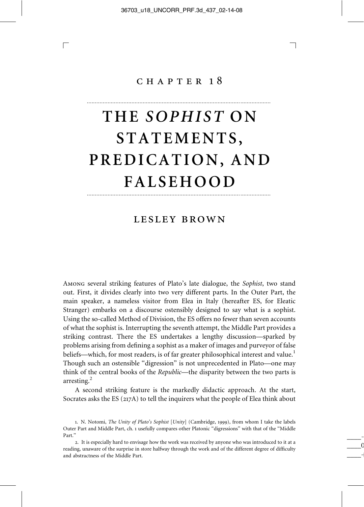# chapter 18

 $\Gamma$ 

...................................................................................................................

# THE SOPHIST ON STATEMENTS, PREDICATION, AND FALSEHOOD

# lesley brown

Among several striking features of Plato's late dialogue, the Sophist, two stand out. First, it divides clearly into two very different parts. In the Outer Part, the main speaker, a nameless visitor from Elea in Italy (hereafter ES, for Eleatic Stranger) embarks on a discourse ostensibly designed to say what is a sophist. Using the so-called Method of Division, the ES offers no fewer than seven accounts of what the sophist is. Interrupting the seventh attempt, the Middle Part provides a striking contrast. There the ES undertakes a lengthy discussion—sparked by problems arising from defining a sophist as a maker of images and purveyor of false beliefs—which, for most readers, is of far greater philosophical interest and value.<sup>1</sup> Though such an ostensible ''digression'' is not unprecedented in Plato—one may think of the central books of the Republic—the disparity between the two parts is arresting.<sup>2</sup>

A second striking feature is the markedly didactic approach. At the start, Socrates asks the ES (217A) to tell the inquirers what the people of Elea think about

<sup>1</sup>. N. Notomi, The Unity of Plato's Sophist [Unity] (Cambridge, 1999), from whom I take the labels Outer Part and Middle Part, ch. 1 usefully compares other Platonic ''digressions'' with that of the ''Middle Part.''

<sup>2</sup>. It is especially hard to envisage how the work was received by anyone who was introduced to it at a reading, unaware of the surprise in store halfway through the work and of the different degree of difficulty and abstractness of the Middle Part.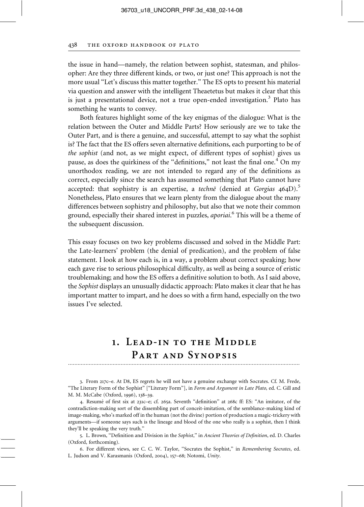the issue in hand—namely, the relation between sophist, statesman, and philosopher: Are they three different kinds, or two, or just one? This approach is not the more usual ''Let's discuss this matter together.'' The ES opts to present his material via question and answer with the intelligent Theaetetus but makes it clear that this is just a presentational device, not a true open-ended investigation.<sup>3</sup> Plato has something he wants to convey.

Both features highlight some of the key enigmas of the dialogue: What is the relation between the Outer and Middle Parts? How seriously are we to take the Outer Part, and is there a genuine, and successful, attempt to say what the sophist is? The fact that the ES offers seven alternative definitions, each purporting to be of the sophist (and not, as we might expect, of different types of sophist) gives us pause, as does the quirkiness of the "definitions," not least the final one.<sup>4</sup> On my unorthodox reading, we are not intended to regard any of the definitions as correct, especially since the search has assumed something that Plato cannot have accepted: that sophistry is an expertise, a techne (denied at Gorgias  $464D$ ).<sup>5</sup> Nonetheless, Plato ensures that we learn plenty from the dialogue about the many differences between sophistry and philosophy, but also that we note their common ground, especially their shared interest in puzzles, *aporiai*.<sup>6</sup> This will be a theme of the subsequent discussion.

This essay focuses on two key problems discussed and solved in the Middle Part: the Late-learners' problem (the denial of predication), and the problem of false statement. I look at how each is, in a way, a problem about correct speaking; how each gave rise to serious philosophical difficulty, as well as being a source of eristic troublemaking; and how the ES offers a definitive solution to both. As I said above, the Sophist displays an unusually didactic approach: Plato makes it clear that he has important matter to impart, and he does so with a firm hand, especially on the two issues I've selected.

# 1. Lead-in to the Middle Part and Synopsis .................................................................................................................................................

3. From 217c–e. At D8, ES regrets he will not have a genuine exchange with Socrates. Cf. M. Frede, "The Literary Form of the Sophist" ["Literary Form"], in Form and Argument in Late Plato, ed. C. Gill and M. M. McCabe (Oxford, 1996), 138–39.

4. Resume of first six at 231c-e; cf. 265a. Seventh "definition" at 268c ff: ES: "An imitator, of the contradiction-making sort of the dissembling part of conceit-imitation, of the semblance-making kind of image-making, who's marked off in the human (not the divine) portion of production a magic-trickery with arguments—if someone says such is the lineage and blood of the one who really is a sophist, then I think they'll be speaking the very truth.''

5. L. Brown, "Definition and Division in the Sophist," in Ancient Theories of Definition, ed. D. Charles (Oxford, forthcoming).

 $\overline{\phantom{a}}$  $\overline{\phantom{a}}$  $\overline{\phantom{a}}$ 

6. For different views, see C. C. W. Taylor, "Socrates the Sophist," in Remembering Socrates, ed. L. Judson and V. Karasmanis (Oxford, 2004), 157–68; Notomi, Unity.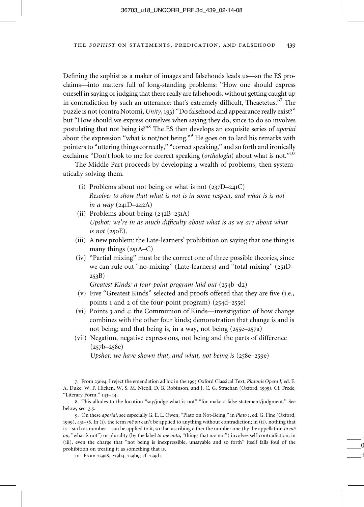Defining the sophist as a maker of images and falsehoods leads us—so the ES proclaims—into matters full of long-standing problems: ''How one should express oneself in saying or judging that there really are falsehoods, without getting caught up in contradiction by such an utterance: that's extremely difficult, Theaetetus."<sup>7</sup> The puzzle is not (contra Notomi, Unity, 193) "Do falsehood and appearance really exist?" but ''How should we express ourselves when saying they do, since to do so involves postulating that not being is?"<sup>8</sup> The ES then develops an exquisite series of aporiai about the expression "what is not/not being."<sup>9</sup> He goes on to lard his remarks with pointers to "uttering things correctly," "correct speaking," and so forth and ironically exclaims: "Don't look to me for correct speaking (*orthologia*) about what is not."<sup>10</sup>

The Middle Part proceeds by developing a wealth of problems, then systematically solving them.

- (i) Problems about not being or what is not (237D–241C) Resolve: to show that what is not is in some respect, and what is is not in a way (241D–242A)
- (ii) Problems about being (242B–251A) Upshot: we're in as much difficulty about what is as we are about what is not (250E).
- (iii) A new problem: the Late-learners' prohibition on saying that one thing is many things (251A–C)
- (iv) ''Partial mixing'' must be the correct one of three possible theories, since we can rule out "no-mixing" (Late-learners) and "total mixing" (251D– 253B)

Greatest Kinds: a four-point program laid out (254b–d2)

- (v) Five ''Greatest Kinds'' selected and proofs offered that they are five (i.e., points 1 and 2 of the four-point program) (254d–255e)
- (vi) Points 3 and 4: the Communion of Kinds—investigation of how change combines with the other four kinds; demonstration that change is and is not being; and that being is, in a way, not being (255e–257a)
- (vii) Negation, negative expressions, not being and the parts of difference  $(257b - 258e)$

Upshot: we have shown that, and what, not being is (258e–259e)

8. This alludes to the locution "say/judge what is not" "for make a false statement/judgment." See below, sec. 3.5.

9. On these aporiai, see especially G. E. L. Owen, "Plato on Not-Being," in Plato 1, ed. G. Fine (Oxford, 1999), 431–38. In (i), the term  $m\bar{e}$  on can't be applied to anything without contradiction; in (ii), nothing that is—such as number—can be applied to it, so that ascribing either the number one (by the appellation to  $m\bar{e}$ on, "what is not") or plurality (by the label ta  $m\bar{e}$  onta, "things that are not") involves self-contradiction; in (iii), even the charge that ''not being is inexpressible, unsayable and so forth'' itself falls foul of the prohibition on treating it as something that is.

\_\_\_\_ \_\_\_\_0  $\overline{\phantom{a}}$ 

10. From 239a8, 239b4, 239b9; cf. 239d1.

<sup>7</sup>. From 236e4. I reject the emendation ad loc in the 1995 Oxford Classical Text, Platonis Opera I, ed. E. A. Duke, W. F. Hicken, W. S. M. Nicoll, D. B. Robinson, and J. C. G. Strachan (Oxford, 1995). Cf. Frede, ''Literary Form,'' 143–44.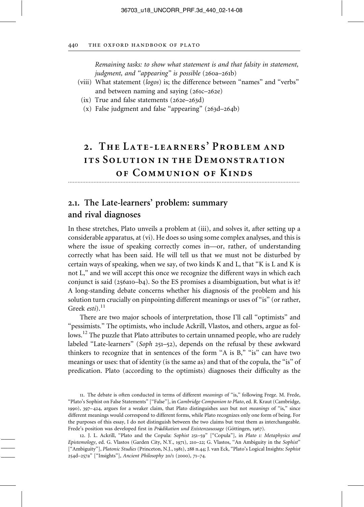Remaining tasks: to show what statement is and that falsity in statement, judgment, and ''appearing'' is possible (260a–261b)

- (viii) What statement (logos) is; the difference between "names" and "verbs" and between naming and saying (261c–262e)
- (ix) True and false statements (262e–263d)
- (x) False judgment and false ''appearing'' (263d–264b)

# 2. The Late-learners' Problem and its Solution in the Demonstration of Communion of Kinds .................................................................................................................................................

# 2.1. The Late-learners' problem: summary and rival diagnoses

In these stretches, Plato unveils a problem at (iii), and solves it, after setting up a considerable apparatus, at (vi). He does so using some complex analyses, and this is where the issue of speaking correctly comes in—or, rather, of understanding correctly what has been said. He will tell us that we must not be disturbed by certain ways of speaking, when we say, of two kinds K and L, that ''K is L and K is not L,'' and we will accept this once we recognize the different ways in which each conjunct is said (256a10–b4). So the ES promises a disambiguation, but what is it? A long-standing debate concerns whether his diagnosis of the problem and his solution turn crucially on pinpointing different meanings or uses of "is" (or rather, Greek *esti*). $^{11}$ 

There are two major schools of interpretation, those I'll call ''optimists'' and "pessimists." The optimists, who include Ackrill, Vlastos, and others, argue as follows.<sup>12</sup> The puzzle that Plato attributes to certain unnamed people, who are rudely labeled "Late-learners" (Soph 251–52), depends on the refusal by these awkward thinkers to recognize that in sentences of the form "A is B," "is" can have two meanings or uses: that of identity (is the same as) and that of the copula, the "is" of predication. Plato (according to the optimists) diagnoses their difficulty as the

12. J. L. Ackrill, "Plato and the Copula: Sophist 251-59" ["Copula"], in Plato 1: Metaphysics and Epistemology, ed. G. Vlastos (Garden City, N.Y., 1971), 210–22; G. Vlastos, ''An Ambiguity in the Sophist'' [''Ambiguity''], Platonic Studies (Princeton, N.J., 1981), 288 n.44; J. van Eck, ''Plato's Logical Insights: Sophist 254d–257a'' [''Insights''], Ancient Philosophy 20/1 (2000), 71–74.

<sup>11</sup>. The debate is often conducted in terms of different meanings of ''is,'' following Frege. M. Frede, ''Plato's Sophist on False Statements'' [''False''], in Cambridge Companion to Plato, ed. R. Kraut (Cambridge, 1990), 397-424, argues for a weaker claim, that Plato distinguishes uses but not meanings of "is," since different meanings would correspond to different forms, while Plato recognizes only one form of being. For the purposes of this essay, I do not distinguish between the two claims but treat them as interchangeable. Frede's position was developed first in Prädikation und Existenzaussage (Göttingen, 1967).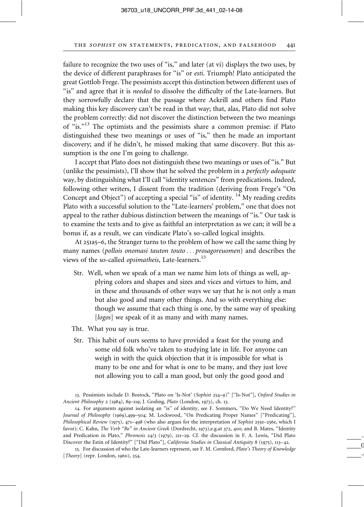failure to recognize the two uses of "is," and later (at vi) displays the two uses, by the device of different paraphrases for "is" or esti. Triumph! Plato anticipated the great Gottlob Frege. The pessimists accept this distinction between different uses of "is" and agree that it is needed to dissolve the difficulty of the Late-learners. But they sorrowfully declare that the passage where Ackrill and others find Plato making this key discovery can't be read in that way; that, alas, Plato did not solve the problem correctly: did not discover the distinction between the two meanings of ''is.''13 The optimists and the pessimists share a common premise: if Plato distinguished these two meanings or uses of ''is,'' then he made an important discovery; and if he didn't, he missed making that same discovery. But this assumption is the one I'm going to challenge.

I accept that Plato does not distinguish these two meanings or uses of ''is.'' But (unlike the pessimists), I'll show that he solved the problem in a perfectly adequate way, by distinguishing what I'll call ''identity sentences'' from predications. Indeed, following other writers, I dissent from the tradition (deriving from Frege's ''On Concept and Object'') of accepting a special ''is'' of identity. <sup>14</sup> My reading credits Plato with a successful solution to the ''Late-learners' problem,'' one that does not appeal to the rather dubious distinction between the meanings of ''is.'' Our task is to examine the texts and to give as faithful an interpretation as we can; it will be a bonus if, as a result, we can vindicate Plato's so-called logical insights.

At 251a5–6, the Stranger turns to the problem of how we call the same thing by many names (pollois onomasi tauton touto ... prosagoreuomen) and describes the views of the so-called *opsimatheis*, Late-learners.<sup>15</sup>

- Str. Well, when we speak of a man we name him lots of things as well, applying colors and shapes and sizes and vices and virtues to him, and in these and thousands of other ways we say that he is not only a man but also good and many other things. And so with everything else: though we assume that each thing is one, by the same way of speaking [*logos*] we speak of it as many and with many names.
- Tht. What you say is true.
- Str. This habit of ours seems to have provided a feast for the young and some old folk who've taken to studying late in life. For anyone can weigh in with the quick objection that it is impossible for what is many to be one and for what is one to be many, and they just love not allowing you to call a man good, but only the good good and

14. For arguments against isolating an ''is'' of identity, see F. Sommers, ''Do We Need Identity?'' Journal of Philosophy (1969),499–504; M. Lockwood, ''On Predicating Proper Names'' [''Predicating''], Philosophical Review (1975), 471–498 (who also argues for the interpretation of Sophist 255e–256e, which I favor); C. Kahn, The Verb "Be" in Ancient Greek (Dordrecht, 1973),e.g.at 372, 400; and B. Mates, "Identity and Predication in Plato," Phronesis 24/3 (1979), 211-29. Cf. the discussion in F. A. Lewis, "Did Plato Discover the Estin of Identity?'' [''Did Plato''], California Studies in Classical Antiquity 8 (1975), 113–42.

\_\_\_\_ \_\_\_\_0  $\overline{\phantom{a}}$ 

15. For discussion of who the Late-learners represent, see F. M. Cornford, Plato's Theory of Knowledge [*Theory*] (repr. London, 1960), 254.

<sup>13.</sup> Pessimists include D. Bostock, "Plato on 'Is-Not' (Sophist 254-9)" ["Is-Not"], Oxford Studies in Ancient Philosophy 2 (1984), 89–119; J. Gosling, Plato (London, 1973), ch. 13.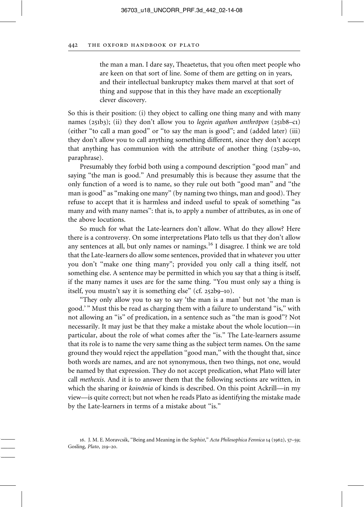the man a man. I dare say, Theaetetus, that you often meet people who are keen on that sort of line. Some of them are getting on in years, and their intellectual bankruptcy makes them marvel at that sort of thing and suppose that in this they have made an exceptionally clever discovery.

So this is their position: (i) they object to calling one thing many and with many names (251b3); (ii) they don't allow you to legein agathon anthropon (251b8–c1) (either ''to call a man good'' or ''to say the man is good''; and (added later) (iii) they don't allow you to call anything something different, since they don't accept that anything has communion with the attribute of another thing  $(252b9-10,$ paraphrase).

Presumably they forbid both using a compound description "good man" and saying ''the man is good.'' And presumably this is because they assume that the only function of a word is to name, so they rule out both ''good man'' and ''the man is good'' as ''making one many'' (by naming two things, man and good). They refuse to accept that it is harmless and indeed useful to speak of something ''as many and with many names'': that is, to apply a number of attributes, as in one of the above locutions.

So much for what the Late-learners don't allow. What do they allow? Here there is a controversy. On some interpretations Plato tells us that they don't allow any sentences at all, but only names or namings.<sup>16</sup> I disagree. I think we are told that the Late-learners do allow some sentences, provided that in whatever you utter you don't ''make one thing many''; provided you only call a thing itself, not something else. A sentence may be permitted in which you say that a thing is itself, if the many names it uses are for the same thing. ''You must only say a thing is itself, you mustn't say it is something else" (cf. 252b9-10).

''They only allow you to say to say 'the man is a man' but not 'the man is good.' '' Must this be read as charging them with a failure to understand ''is,'' with not allowing an ''is'' of predication, in a sentence such as ''the man is good''? Not necessarily. It may just be that they make a mistake about the whole locution—in particular, about the role of what comes after the "is." The Late-learners assume that its role is to name the very same thing as the subject term names. On the same ground they would reject the appellation ''good man,'' with the thought that, since both words are names, and are not synonymous, then two things, not one, would be named by that expression. They do not accept predication, what Plato will later call methexis. And it is to answer them that the following sections are written, in which the sharing or *koinonia* of kinds is described. On this point Ackrill—in my view—is quite correct; but not when he reads Plato as identifying the mistake made by the Late-learners in terms of a mistake about "is."

<sup>16</sup>. J. M. E. Moravcsik, ''Being and Meaning in the Sophist,'' Acta Philosophica Fennica 14 (1962), 57–59; Gosling, Plato, 219–20.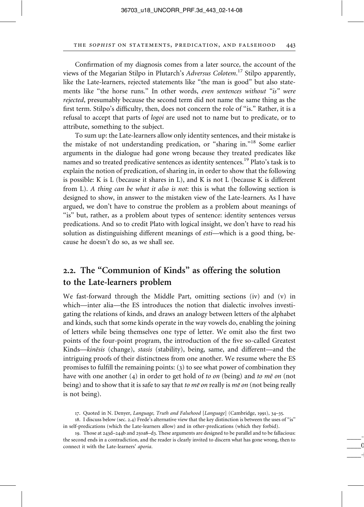Confirmation of my diagnosis comes from a later source, the account of the views of the Megarian Stilpo in Plutarch's Adversus Colotem.<sup>17</sup> Stilpo apparently, like the Late-learners, rejected statements like ''the man is good'' but also statements like "the horse runs." In other words, even sentences without "is" were rejected, presumably because the second term did not name the same thing as the first term. Stilpo's difficulty, then, does not concern the role of ''is.'' Rather, it is a refusal to accept that parts of logoi are used not to name but to predicate, or to attribute, something to the subject.

To sum up: the Late-learners allow only identity sentences, and their mistake is the mistake of not understanding predication, or ''sharing in.''18 Some earlier arguments in the dialogue had gone wrong because they treated predicates like names and so treated predicative sentences as identity sentences.<sup>19</sup> Plato's task is to explain the notion of predication, of sharing in, in order to show that the following is possible: K is L (because it shares in L), and K is not L (because K is different from L). A thing can be what it also is not: this is what the following section is designed to show, in answer to the mistaken view of the Late-learners. As I have argued, we don't have to construe the problem as a problem about meanings of ''is'' but, rather, as a problem about types of sentence: identity sentences versus predications. And so to credit Plato with logical insight, we don't have to read his solution as distinguishing different meanings of esti—which is a good thing, because he doesn't do so, as we shall see.

# 2.2. The ''Communion of Kinds'' as offering the solution to the Late-learners problem

We fast-forward through the Middle Part, omitting sections (iv) and (v) in which—inter alia—the ES introduces the notion that dialectic involves investigating the relations of kinds, and draws an analogy between letters of the alphabet and kinds, such that some kinds operate in the way vowels do, enabling the joining of letters while being themselves one type of letter. We omit also the first two points of the four-point program, the introduction of the five so-called Greatest Kinds—kinēsis (change), stasis (stability), being, same, and different—and the intriguing proofs of their distinctness from one another. We resume where the ES promises to fulfill the remaining points: (3) to see what power of combination they have with one another (4) in order to get hold of to on (being) and to  $m\bar{e}$  on (not being) and to show that it is safe to say that to me on really is  $m\bar{e}$  on (not being really is not being).

<sup>17</sup>. Quoted in N. Denyer, Language, Truth and Falsehood [Language] (Cambridge, 1991), 34–35.

<sup>18</sup>. I discuss below (sec. 2.4) Frede's alternative view that the key distinction is between the uses of ''is'' in self-predications (which the Late-learners allow) and in other-predications (which they forbid).

<sup>19</sup>. Those at 243d–244b and 250a8–d3. These arguments are designed to be parallel and to be fallacious: the second ends in a contradiction, and the reader is clearly invited to discern what has gone wrong, then to connect it with the Late-learners' aporia.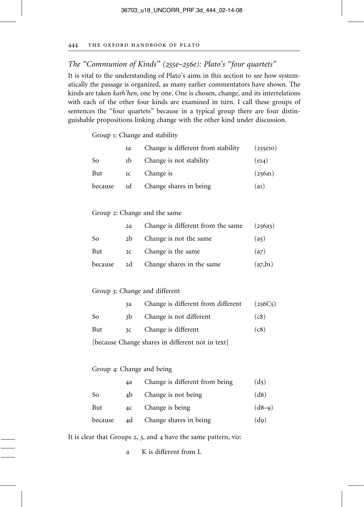## The "Communion of Kinds" (255e-256e): Plato's "four quartets"

It is vital to the understanding of Plato's aims in this section to see how systematically the passage is organized, as many earlier commentators have shown. The kinds are taken kath'hen, one by one. One is chosen, change, and its interrelations with each of the other four kinds are examined in turn. I call these groups of sentences the "four quartets" because in a typical group there are four distinguishable propositions linking change with the other kind under discussion.

Group 1: Change and stability

|               | 1a   | Change is different from stability | (255e10)   |
|---------------|------|------------------------------------|------------|
| <sub>So</sub> | 1b - | Change is not stability            | $(e_{14})$ |
| But           | 1C   | Change is                          | (256a1)    |
| because       |      | 1d Change shares in being          | $(a_1)$    |

Group 2: Change and the same

|         | 2a | Change is different from the same | (256a3)           |
|---------|----|-----------------------------------|-------------------|
| So      | 2b | Change is not the same            | (a <sub>5</sub> ) |
| But     | 2C | Change is the same                | (a7)              |
| because |    | 2d Change shares in the same      | $(a_7,b_1)$       |

## Group 3: Change and different

|     | 3a  | Change is different from different               | $(256C_5)$ |
|-----|-----|--------------------------------------------------|------------|
| So. | 3b. | Change is not different                          | (c8)       |
| But | 3C  | Change is different                              | (c8)       |
|     |     | [because Change shares in different not in text] |            |

Group 4: Change and being

 $\overline{\phantom{a}}$  $\overline{\phantom{a}}$  $\overline{\phantom{a}}$ 

|         | 4a  | Change is different from being | $(d_5)$                     |
|---------|-----|--------------------------------|-----------------------------|
| So      | 4b. | Change is not being            | $\left( \mathrm{d}8\right)$ |
| But     | 4C  | Change is being                | (d8–9)                      |
| because | 4d  | Change shares in being         | (dq)                        |

It is clear that Groups 2, 3, and 4 have the same pattern, viz:

a K is different from L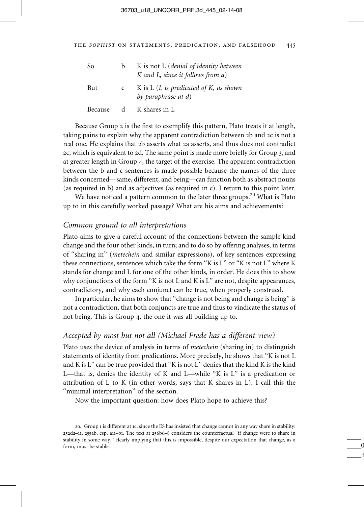| So.            | b. | K is not L (denial of identity between<br>K and L, since it follows from a) |
|----------------|----|-----------------------------------------------------------------------------|
| But            | C  | K is L $(L$ is predicated of K, as shown<br>by paraphrase at d)             |
| <b>Because</b> | d. | K shares in L                                                               |

Because Group 2 is the first to exemplify this pattern, Plato treats it at length, taking pains to explain why the apparent contradiction between 2b and 2c is not a real one. He explains that 2b asserts what 2a asserts, and thus does not contradict 2c, which is equivalent to 2d. The same point is made more briefly for Group 3, and at greater length in Group 4, the target of the exercise. The apparent contradiction between the b and c sentences is made possible because the names of the three kinds concerned—same, different, and being—can function both as abstract nouns (as required in b) and as adjectives (as required in c). I return to this point later.

We have noticed a pattern common to the later three groups.<sup>20</sup> What is Plato up to in this carefully worked passage? What are his aims and achievements?

## Common ground to all interpretations

Plato aims to give a careful account of the connections between the sample kind change and the four other kinds, in turn; and to do so by offering analyses, in terms of ''sharing in'' (metechein and similar expressions), of key sentences expressing these connections, sentences which take the form ''K is L'' or ''K is not L'' where K stands for change and L for one of the other kinds, in order. He does this to show why conjunctions of the form "K is not L and K is L" are not, despite appearances, contradictory, and why each conjunct can be true, when properly construed.

In particular, he aims to show that ''change is not being and change is being'' is not a contradiction, that both conjuncts are true and thus to vindicate the status of not being. This is Group 4, the one it was all building up to.

## Accepted by most but not all (Michael Frede has a different view)

Plato uses the device of analysis in terms of *metechein* (sharing in) to distinguish statements of identity from predications. More precisely, he shows that ''K is not L and K is L'' can be true provided that ''K is not L'' denies that the kind K is the kind L—that is, denies the identity of K and L—while ''K is L'' is a predication or attribution of  $L$  to  $K$  (in other words, says that  $K$  shares in  $L$ ). I call this the "minimal interpretation" of the section.

Now the important question: how does Plato hope to achieve this?

<sup>20</sup>. Group 1 is different at 1c, since the ES has insisted that change cannot in any way share in stability: 252d2–11, 255ab, esp. a11–b1. The text at 256b6–8 considers the counterfactual ''if change were to share in stability in some way,'' clearly implying that this is impossible, despite our expectation that change, as a form, must be stable.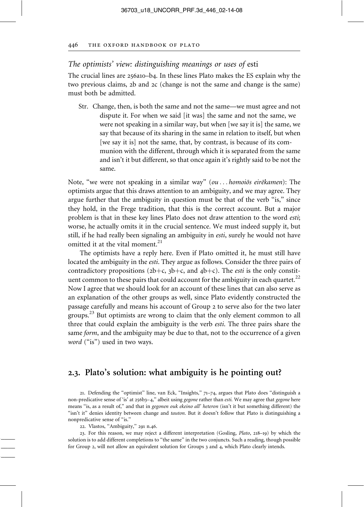### The optimists' view: distinguishing meanings or uses of esti

The crucial lines are 256a10–b4. In these lines Plato makes the ES explain why the two previous claims, 2b and 2c (change is not the same and change is the same) must both be admitted.

Str. Change, then, is both the same and not the same—we must agree and not dispute it. For when we said [it was] the same and not the same, we were not speaking in a similar way, but when [we say it is] the same, we say that because of its sharing in the same in relation to itself, but when [we say it is] not the same, that, by contrast, is because of its communion with the different, through which it is separated from the same and isn't it but different, so that once again it's rightly said to be not the same.

Note, "we were not speaking in a similar way"  $(ou...homoi\delta s$  eire $kamen$ : The optimists argue that this draws attention to an ambiguity, and we may agree. They argue further that the ambiguity in question must be that of the verb "is," since they hold, in the Frege tradition, that this is the correct account. But a major problem is that in these key lines Plato does not draw attention to the word esti; worse, he actually omits it in the crucial sentence. We must indeed supply it, but still, if he had really been signaling an ambiguity in *esti*, surely he would not have omitted it at the vital moment.<sup>21</sup>

The optimists have a reply here. Even if Plato omitted it, he must still have located the ambiguity in the esti. They argue as follows. Consider the three pairs of contradictory propositions (2b+c, 3b+c, and 4b+c). The *esti* is the only constituent common to these pairs that could account for the ambiguity in each quartet. $^{22}$ Now I agree that we should look for an account of these lines that can also serve as an explanation of the other groups as well, since Plato evidently constructed the passage carefully and means his account of Group 2 to serve also for the two later groups.<sup>23</sup> But optimists are wrong to claim that the only element common to all three that could explain the ambiguity is the verb esti. The three pairs share the same *form*, and the ambiguity may be due to that, not to the occurrence of a given word ("is") used in two ways.

## 2.3. Plato's solution: what ambiguity is he pointing out?

21. Defending the ''optimist'' line, van Eck, ''Insights,'' 71–74, argues that Plato does ''distinguish a non-predicative sense of 'is' at 256b3-4," albeit using gegone rather than esti. We may agree that gegone here means "is, as a result of," and that in gegonen ouk ekeino all' heteron (isn't it but something different) the "isn't it" denies identity between change and tauton. But it doesn't follow that Plato is distinguishing a nonpredicative sense of "is."

22. Vlastos, "Ambiguity," 291 n.46.

 $\overline{\phantom{a}}$  $\overline{\phantom{a}}$  $\overline{\phantom{a}}$ 

23. For this reason, we may reject a different interpretation (Gosling, Plato, 218–19) by which the solution is to add different completions to "the same" in the two conjuncts. Such a reading, though possible for Group 2, will not allow an equivalent solution for Groups 3 and 4, which Plato clearly intends.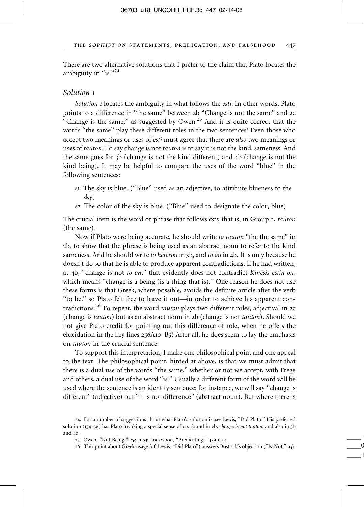There are two alternative solutions that I prefer to the claim that Plato locates the ambiguity in "is." $^{24}$ 

### Solution 1

Solution 1 locates the ambiguity in what follows the *esti*. In other words, Plato points to a difference in ''the same'' between 2b ''Change is not the same'' and 2c "Change is the same," as suggested by Owen.<sup>25</sup> And it is quite correct that the words ''the same'' play these different roles in the two sentences! Even those who accept two meanings or uses of esti must agree that there are also two meanings or uses of *tauton*. To say change is not *tauton* is to say it is not the kind, sameness. And the same goes for 3b (change is not the kind different) and 4b (change is not the kind being). It may be helpful to compare the uses of the word ''blue'' in the following sentences:

- s1 The sky is blue. (''Blue'' used as an adjective, to attribute blueness to the sky)
- s2 The color of the sky is blue. (''Blue'' used to designate the color, blue)

The crucial item is the word or phrase that follows *esti*; that is, in Group 2, *tauton* (the same).

Now if Plato were being accurate, he should write to tauton "the the same" in 2b, to show that the phrase is being used as an abstract noun to refer to the kind sameness. And he should write to heteron in 3b, and to on in 4b. It is only because he doesn't do so that he is able to produce apparent contradictions. If he had written, at 4b, "change is not to  $on$ ," that evidently does not contradict Kinesis estin on, which means "change is a being (is a thing that is)." One reason he does not use these forms is that Greek, where possible, avoids the definite article after the verb ''to be,'' so Plato felt free to leave it out—in order to achieve his apparent contradictions.<sup>26</sup> To repeat, the word *tauton* plays two different roles, adjectival in 2c (change is tauton) but as an abstract noun in 2b (change is not tauton). Should we not give Plato credit for pointing out this difference of role, when he offers the elucidation in the key lines 256A10–B5? After all, he does seem to lay the emphasis on tauton in the crucial sentence.

To support this interpretation, I make one philosophical point and one appeal to the text. The philosophical point, hinted at above, is that we must admit that there is a dual use of the words ''the same,'' whether or not we accept, with Frege and others, a dual use of the word "is." Usually a different form of the word will be used where the sentence is an identity sentence; for instance, we will say ''change is different'' (adjective) but ''it is not difference'' (abstract noun). But where there is

- 25. Owen, ''Not Being,'' 258 n.63; Lockwood, ''Predicating,'' 479 n.12.
- 26. This point about Greek usage (cf. Lewis, "Did Plato") answers Bostock's objection ("Is-Not," 93).

<sup>24</sup>. For a number of suggestions about what Plato's solution is, see Lewis, ''Did Plato.'' His preferred solution (134–36) has Plato invoking a special sense of *not* found in 2b, *change is not tauton*, and also in 3b and 4b.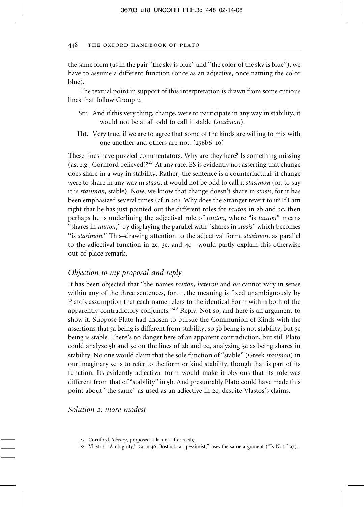the same form (as in the pair ''the sky is blue'' and ''the color of the sky is blue''), we have to assume a different function (once as an adjective, once naming the color blue).

The textual point in support of this interpretation is drawn from some curious lines that follow Group 2.

- Str. And if this very thing, change, were to participate in any way in stability, it would not be at all odd to call it stable (stasimon).
- Tht. Very true, if we are to agree that some of the kinds are willing to mix with one another and others are not. (256b6–10)

These lines have puzzled commentators. Why are they here? Is something missing (as, e.g., Cornford believed)?<sup>27</sup> At any rate, ES is evidently not asserting that change does share in a way in stability. Rather, the sentence is a counterfactual: if change were to share in any way in *stasis*, it would not be odd to call it *stasimon* (or, to say it is *stasimon*, stable). Now, we know that change doesn't share in *stasis*, for it has been emphasized several times (cf. n.20). Why does the Stranger revert to it? If I am right that he has just pointed out the different roles for tauton in 2b and 2c, then perhaps he is underlining the adjectival role of *tauton*, where "is *tauton*" means "shares in tauton," by displaying the parallel with "shares in stasis" which becomes "is *stasimon.*" This–drawing attention to the adjectival form, *stasimon*, as parallel to the adjectival function in 2c, 3c, and 4c—would partly explain this otherwise out-of-place remark.

## Objection to my proposal and reply

It has been objected that "the names *tauton*, *heteron* and *on* cannot vary in sense within any of the three sentences, for... the meaning is fixed unambiguously by Plato's assumption that each name refers to the identical Form within both of the apparently contradictory conjuncts."<sup>28</sup> Reply: Not so, and here is an argument to show it. Suppose Plato had chosen to pursue the Communion of Kinds with the assertions that 5a being is different from stability, so 5b being is not stability, but 5c being is stable. There's no danger here of an apparent contradiction, but still Plato could analyze 5b and 5c on the lines of 2b and 2c, analyzing 5c as being shares in stability. No one would claim that the sole function of "stable" (Greek stasimon) in our imaginary 5c is to refer to the form or kind stability, though that is part of its function. Its evidently adjectival form would make it obvious that its role was different from that of ''stability'' in 5b. And presumably Plato could have made this point about "the same" as used as an adjective in 2c, despite Vlastos's claims.

Solution 2: more modest

 $\overline{\phantom{a}}$  $\overline{\phantom{a}}$  $\overline{\phantom{a}}$ 

28. Vlastos, ''Ambiguity,'' 291 n.46. Bostock, a ''pessimist,'' uses the same argument (''Is-Not,'' 97).

<sup>27</sup>. Cornford, Theory, proposed a lacuna after 256b7.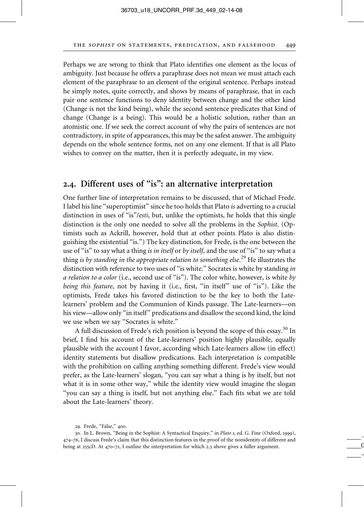Perhaps we are wrong to think that Plato identifies one element as the locus of ambiguity. Just because he offers a paraphrase does not mean we must attach each element of the paraphrase to an element of the original sentence. Perhaps instead he simply notes, quite correctly, and shows by means of paraphrase, that in each pair one sentence functions to deny identity between change and the other kind (Change is not the kind being), while the second sentence predicates that kind of change (Change is a being). This would be a holistic solution, rather than an atomistic one. If we seek the correct account of why the pairs of sentences are not contradictory, in spite of appearances, this may be the safest answer. The ambiguity depends on the whole sentence forms, not on any one element. If that is all Plato wishes to convey on the matter, then it is perfectly adequate, in my view.

# 2.4. Different uses of ''is'': an alternative interpretation

One further line of interpretation remains to be discussed, that of Michael Frede. I label his line ''superoptimist'' since he too holds that Plato is adverting to a crucial distinction in uses of "is"/*esti*, but, unlike the optimists, he holds that this single distinction is the only one needed to solve all the problems in the Sophist. (Optimists such as Ackrill, however, hold that at other points Plato is also distinguishing the existential ''is.'') The key distinction, for Frede, is the one between the use of "is" to say what a thing is in itself or by itself, and the use of "is" to say what a thing *is by standing in the appropriate relation to something else*.<sup>29</sup> He illustrates the distinction with reference to two uses of "is white." Socrates is white by standing in a relation to a color (i.e., second use of "is"). The color white, however, is white by being this feature, not by having it (i.e., first, "in itself" use of "is"). Like the optimists, Frede takes his favored distinction to be the key to both the Latelearners' problem and the Communion of Kinds passage. The Late-learners—on his view—allow only ''in itself'' predications and disallow the second kind, the kind we use when we say ''Socrates is white.''

A full discussion of Frede's rich position is beyond the scope of this essay.<sup>30</sup> In brief, I find his account of the Late-learners' position highly plausible, equally plausible with the account I favor, according which Late-learners allow (in effect) identity statements but disallow predications. Each interpretation is compatible with the prohibition on calling anything something different. Frede's view would prefer, as the Late-learners' slogan, ''you can say what a thing is by itself, but not what it is in some other way," while the identity view would imagine the slogan "you can say a thing is itself, but not anything else." Each fits what we are told about the Late-learners' theory.

<sup>29.</sup> Frede, "False," 400.

<sup>30</sup>. In L. Brown, ''Being in the Sophist: A Syntactical Enquiry,'' in Plato 1, ed. G. Fine (Oxford, 1999), 474–76, I discuss Frede's claim that this distinction features in the proof of the nonidentity of different and being at 255cD. At 470–71, I outline the interpretation for which 2.3 above gives a fuller argument.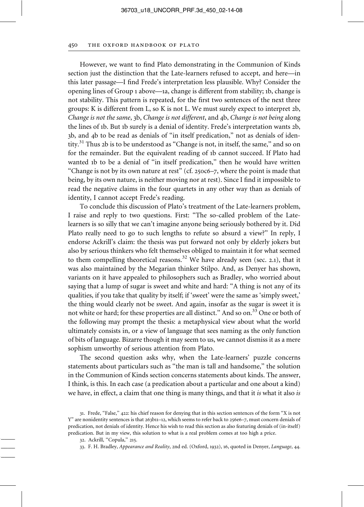However, we want to find Plato demonstrating in the Communion of Kinds section just the distinction that the Late-learners refused to accept, and here—in this later passage—I find Frede's interpretation less plausible. Why? Consider the opening lines of Group 1 above—1a, change is different from stability; 1b, change is not stability. This pattern is repeated, for the first two sentences of the next three groups: K is different from L, so K is not L. We must surely expect to interpret 2b, Change is not the same, 3b, Change is not different, and 4b, Change is not being along the lines of 1b. But 1b surely is a denial of identity. Frede's interpretation wants 2b, 3b, and 4b to be read as denials of ''in itself predication,'' not as denials of identity.<sup>31</sup> Thus 2b is to be understood as "Change is not, in itself, the same," and so on for the remainder. But the equivalent reading of 1b cannot succeed. If Plato had wanted 1b to be a denial of "in itself predication," then he would have written "Change is not by its own nature at rest" (cf. 250c6–7, where the point is made that being, by its own nature, is neither moving nor at rest). Since I find it impossible to read the negative claims in the four quartets in any other way than as denials of identity, I cannot accept Frede's reading.

To conclude this discussion of Plato's treatment of the Late-learners problem, I raise and reply to two questions. First: ''The so-called problem of the Latelearners is so silly that we can't imagine anyone being seriously bothered by it. Did Plato really need to go to such lengths to refute so absurd a view?'' In reply, I endorse Ackrill's claim: the thesis was put forward not only by elderly jokers but also by serious thinkers who felt themselves obliged to maintain it for what seemed to them compelling theoretical reasons.<sup>32</sup> We have already seen (sec. 2.1), that it was also maintained by the Megarian thinker Stilpo. And, as Denyer has shown, variants on it have appealed to philosophers such as Bradley, who worried about saying that a lump of sugar is sweet and white and hard: ''A thing is not any of its qualities, if you take that quality by itself; if 'sweet' were the same as 'simply sweet,' the thing would clearly not be sweet. And again, insofar as the sugar is sweet it is not white or hard; for these properties are all distinct." And so on.<sup>33</sup> One or both of the following may prompt the thesis: a metaphysical view about what the world ultimately consists in, or a view of language that sees naming as the only function of bits of language. Bizarre though it may seem to us, we cannot dismiss it as a mere sophism unworthy of serious attention from Plato.

The second question asks why, when the Late-learners' puzzle concerns statements about particulars such as ''the man is tall and handsome,'' the solution in the Communion of Kinds section concerns statements about kinds. The answer, I think, is this. In each case (a predication about a particular and one about a kind) we have, in effect, a claim that one thing is many things, and that it is what it also is

<sup>31</sup>. Frede, ''False,'' 422: his chief reason for denying that in this section sentences of the form ''X is not Y'' are nonidentity sentences is that 263b11–12, which seems to refer back to 256e6–7, must concern denials of predication, not denials of identity. Hence his wish to read this section as also featuring denials of (in-itself) predication. But in my view, this solution to what is a real problem comes at too high a price.

<sup>32.</sup> Ackrill, "Copula," 215.

<sup>33</sup>. F. H. Bradley, Appearance and Reality, 2nd ed. (Oxford, 1932), 16, quoted in Denyer, Language, 44.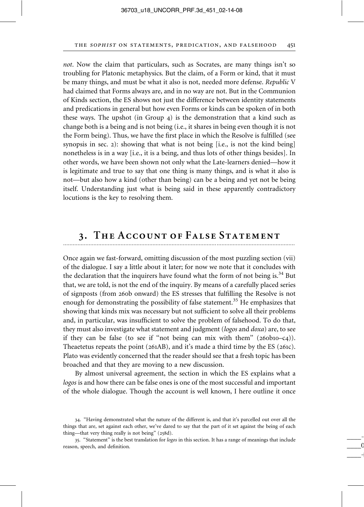not. Now the claim that particulars, such as Socrates, are many things isn't so troubling for Platonic metaphysics. But the claim, of a Form or kind, that it must be many things, and must be what it also is not, needed more defense. Republic V had claimed that Forms always are, and in no way are not. But in the Communion of Kinds section, the ES shows not just the difference between identity statements and predications in general but how even Forms or kinds can be spoken of in both these ways. The upshot (in Group 4) is the demonstration that a kind such as change both is a being and is not being (i.e., it shares in being even though it is not the Form being). Thus, we have the first place in which the Resolve is fulfilled (see synopsis in sec. 2): showing that what is not being [i.e., is not the kind being] nonetheless is in a way [i.e., it is a being, and thus lots of other things besides]. In other words, we have been shown not only what the Late-learners denied—how it is legitimate and true to say that one thing is many things, and is what it also is not—but also how a kind (other than being) can be a being and yet not be being itself. Understanding just what is being said in these apparently contradictory locutions is the key to resolving them.

## 3. The Account of False Statement .................................................................................................................................................

Once again we fast-forward, omitting discussion of the most puzzling section (vii) of the dialogue. I say a little about it later; for now we note that it concludes with the declaration that the inquirers have found what the form of not being is.<sup>34</sup> But that, we are told, is not the end of the inquiry. By means of a carefully placed series of signposts (from 260b onward) the ES stresses that fulfilling the Resolve is not enough for demonstrating the possibility of false statement.<sup>35</sup> He emphasizes that showing that kinds mix was necessary but not sufficient to solve all their problems and, in particular, was insufficient to solve the problem of falsehood. To do that, they must also investigate what statement and judgment (logos and doxa) are, to see if they can be false (to see if "not being can mix with them"  $(260b10–c4)$ ). Theaetetus repeats the point (261AB), and it's made a third time by the ES (261c). Plato was evidently concerned that the reader should see that a fresh topic has been broached and that they are moving to a new discussion.

By almost universal agreement, the section in which the ES explains what a logos is and how there can be false ones is one of the most successful and important of the whole dialogue. Though the account is well known, I here outline it once

<sup>34</sup>. ''Having demonstrated what the nature of the different is, and that it's parcelled out over all the things that are, set against each other, we've dared to say that the part of it set against the being of each thing—that very thing really is not being'' (258d).

<sup>35</sup>. ''Statement'' is the best translation for logos in this section. It has a range of meanings that include reason, speech, and definition.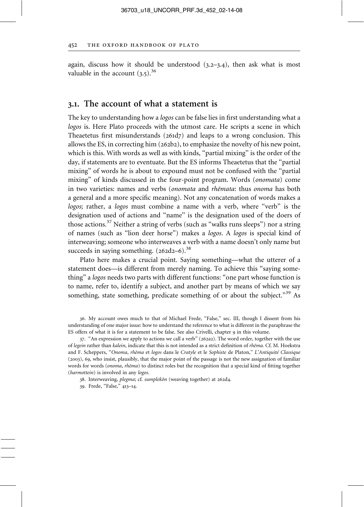again, discuss how it should be understood  $(3.2-3.4)$ , then ask what is most valuable in the account  $(3.5)$ .<sup>36</sup>

## 3.1. The account of what a statement is

The key to understanding how a *logos* can be false lies in first understanding what a logos is. Here Plato proceeds with the utmost care. He scripts a scene in which Theaetetus first misunderstands (261d7) and leaps to a wrong conclusion. This allows the ES, in correcting him (262b2), to emphasize the novelty of his new point, which is this. With words as well as with kinds, "partial mixing" is the order of the day, if statements are to eventuate. But the ES informs Theaetetus that the ''partial mixing'' of words he is about to expound must not be confused with the ''partial mixing" of kinds discussed in the four-point program. Words (*onomata*) come in two varieties: names and verbs (*onomata* and *rhēmata*: thus *onoma* has both a general and a more specific meaning). Not any concatenation of words makes a logos; rather, a logos must combine a name with a verb, where "verb" is the designation used of actions and ''name'' is the designation used of the doers of those actions.<sup>37</sup> Neither a string of verbs (such as "walks runs sleeps") nor a string of names (such as ''lion deer horse'') makes a logos. A logos is special kind of interweaving; someone who interweaves a verb with a name doesn't only name but succeeds in saying something.  $(262d2-6).^{38}$ 

Plato here makes a crucial point. Saying something—what the utterer of a statement does—is different from merely naming. To achieve this ''saying something'' a logos needs two parts with different functions: ''one part whose function is to name, refer to, identify a subject, and another part by means of which we say something, state something, predicate something of or about the subject."<sup>39</sup> As

36. My account owes much to that of Michael Frede, "False," sec. III, though I dissent from his understanding of one major issue: how to understand the reference to what is different in the paraphrase the ES offers of what it is for a statement to be false. See also Crivelli, chapter 9 in this volume.

38. Interweaving, plegma; cf. sumplekon (weaving together) at 262d4.

39. Frede, "False," 413-14.

<sup>37</sup>. ''An expression we apply to actions we call a verb'' (262a2). The word order, together with the use of legein rather than kalein, indicate that this is not intended as a strict definition of rhēma. Cf. M. Hoekstra and F. Scheppers, "Onoma, rhēma et logos dans le Cratyle et le Sophiste de Platon," L'Antiquité Classique (2003), 69, who insist, plausibly, that the major point of the passage is not the new assignation of familiar words for words (onoma, rhēma) to distinct roles but the recognition that a special kind of fitting together (harmottein) is involved in any logos.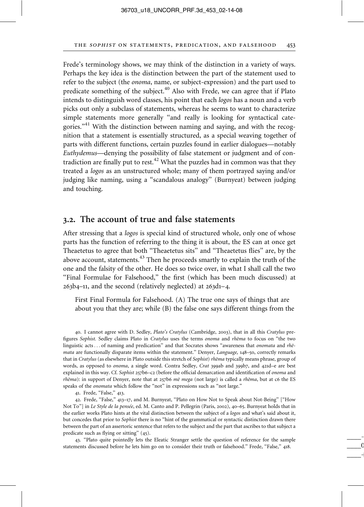Frede's terminology shows, we may think of the distinction in a variety of ways. Perhaps the key idea is the distinction between the part of the statement used to refer to the subject (the onoma, name, or subject-expression) and the part used to predicate something of the subject.<sup>40</sup> Also with Frede, we can agree that if Plato intends to distinguish word classes, his point that each logos has a noun and a verb picks out only a subclass of statements, whereas he seems to want to characterize simple statements more generally ''and really is looking for syntactical categories."<sup>41</sup> With the distinction between naming and saying, and with the recognition that a statement is essentially structured, as a special weaving together of parts with different functions, certain puzzles found in earlier dialogues—notably Euthydemus—denying the possibility of false statement or judgment and of contradiction are finally put to rest. $42$  What the puzzles had in common was that they treated a logos as an unstructured whole; many of them portrayed saying and/or judging like naming, using a ''scandalous analogy'' (Burnyeat) between judging and touching.

## 3.2. The account of true and false statements

After stressing that a logos is special kind of structured whole, only one of whose parts has the function of referring to the thing it is about, the ES can at once get Theaetetus to agree that both ''Theaetetus sits'' and ''Theaetetus flies'' are, by the above account, statements. $43$  Then he proceeds smartly to explain the truth of the one and the falsity of the other. He does so twice over, in what I shall call the two ''Final Formulae for Falsehood,'' the first (which has been much discussed) at 263b4–11, and the second (relatively neglected) at 263d1–4.

First Final Formula for Falsehood. (A) The true one says of things that are about you that they are; while (B) the false one says different things from the

40. I cannot agree with D. Sedley, Plato's Cratylus (Cambridge, 2003), that in all this Cratylus prefigures Sophist. Sedley claims Plato in Cratylus uses the terms onoma and rhēma to focus on "the two linguistic acts... of naming and predication" and that Socrates shows "awareness that onomata and rhēmata are functionally disparate items within the statement." Denyer, Language, 148-50, correctly remarks that in Cratylus (as elsewhere in Plato outside this stretch of Sophist) rhēma typically means phrase, group of words, as opposed to *onoma*, a single word. Contra Sedley, Crat 399ab and 399b7, and 421d-e are best explained in this way. Cf. Sophist 257b6–c2 (before the official demarcation and identification of onoma and  $r$ hēma): in support of Denyer, note that at 257b6 mē mega (not large) is called a rhēma, but at c6 the ES speaks of the onomata which follow the ''not'' in expressions such as ''not large.''

41. Frede, "False," 413.

42. Frede, ''False,'' 413–17, and M. Burnyeat, ''Plato on How Not to Speak about Not-Being'' [''How Not To"] in Le Style de la pensée, ed. M. Canto and P. Pellegrin (Paris, 2002), 40-65. Burnyeat holds that in the earlier works Plato hints at the vital distinction between the subject of a logos and what's said about it, but concedes that prior to Sophist there is no ''hint of the grammatical or syntactic distinction drawn there between the part of an assertoric sentence that refers to the subject and the part that ascribes to that subject a predicate such as flying or sitting'' (45).

43. ''Plato quite pointedly lets the Eleatic Stranger settle the question of reference for the sample statements discussed before he lets him go on to consider their truth or falsehood." Frede, "False," 418.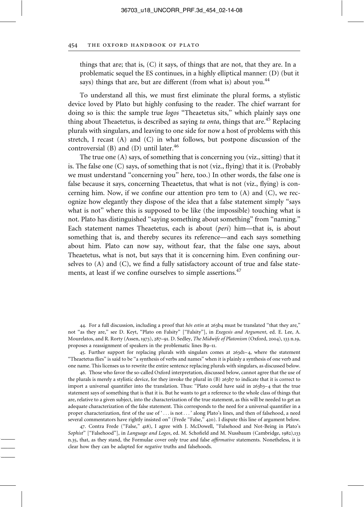things that are; that is, (C) it says, of things that are not, that they are. In a problematic sequel the ES continues, in a highly elliptical manner: (D) (but it says) things that are, but are different (from what is) about you.<sup>44</sup>

To understand all this, we must first eliminate the plural forms, a stylistic device loved by Plato but highly confusing to the reader. The chief warrant for doing so is this: the sample true *logos* "Theaetetus sits," which plainly says one thing about Theaetetus, is described as saying ta onta, things that are.<sup>45</sup> Replacing plurals with singulars, and leaving to one side for now a host of problems with this stretch, I recast (A) and (C) in what follows, but postpone discussion of the controversial  $(B)$  and  $(D)$  until later.<sup>46</sup>

The true one (A) says, of something that is concerning you (viz., sitting) that it is. The false one (C) says, of something that is not (viz., flying) that it is. (Probably we must understand ''concerning you'' here, too.) In other words, the false one is false because it says, concerning Theaetetus, that what is not (viz., flying) is concerning him. Now, if we confine our attention pro tem to (A) and (C), we recognize how elegantly they dispose of the idea that a false statement simply ''says what is not" where this is supposed to be like (the impossible) touching what is not. Plato has distinguished ''saying something about something'' from ''naming.'' Each statement names Theaetetus, each is about (peri) him—that is, is about something that is, and thereby secures its reference—and each says something about him. Plato can now say, without fear, that the false one says, about Theaetetus, what is not, but says that it is concerning him. Even confining ourselves to (A) and (C), we find a fully satisfactory account of true and false statements, at least if we confine ourselves to simple assertions.<sup>47</sup>

44. For a full discussion, including a proof that hos estin at 263b4 must be translated "that they are," not "as they are," see D. Keyt, "Plato on Falsity" ["Falsity"], in Exegesis and Argument, ed. E. Lee, A. Mourelatos, and R. Rorty (Assen, 1973), 287–91. D. Sedley, The Midwife of Platonism (Oxford, 2004), 133 n.19, proposes a reassignment of speakers in the problematic lines B9–11.

45. Further support for replacing plurals with singulars comes at 263d1–4, where the statement ''Theaetetus flies'' is said to be ''a synthesis of verbs and names'' when it is plainly a synthesis of one verb and one name. This licenses us to rewrite the entire sentence replacing plurals with singulars, as discussed below.

46. Those who favor the so-called Oxford interpretation, discussed below, cannot agree that the use of the plurals is merely a stylistic device, for they invoke the plural in (B) 263b7 to indicate that it is correct to import a universal quantifier into the translation. Thus: ''Plato could have said in 263b3–4 that the true statement says of something that is that it is. But he wants to get a reference to the whole class of things that are, relative to a given subject, into the characterization of the true statement, as this will be needed to get an adequate characterization of the false statement. This corresponds to the need for a universal quantifier in a proper characterization, first of the use of ' ... is not ... ' along Plato's lines, and then of falsehood, a need several commentators have rightly insisted on" (Frede "False," 420). I dispute this line of argument below.

47. Contra Frede (''False,'' 418), I agree with J. McDowell, ''Falsehood and Not-Being in Plato's Sophist" ["Falsehood"], in Language and Logos, ed. M. Schofield and M. Nussbaum (Cambridge, 1982),133 n.35, that, as they stand, the Formulae cover only true and false affirmative statements. Nonetheless, it is clear how they can be adapted for negative truths and falsehoods.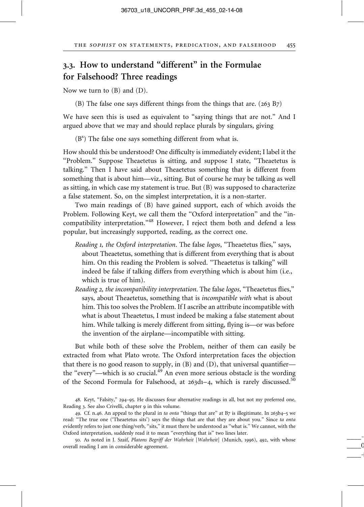# 3.3. How to understand ''different'' in the Formulae for Falsehood? Three readings

Now we turn to (B) and (D).

(B) The false one says different things from the things that are. (263 B7)

We have seen this is used as equivalent to "saying things that are not." And I argued above that we may and should replace plurals by singulars, giving

 $(B<sup>s</sup>)$  The false one says something different from what is.

How should this be understood? One difficulty is immediately evident; I label it the ''Problem.'' Suppose Theaetetus is sitting, and suppose I state, ''Theaetetus is talking.'' Then I have said about Theaetetus something that is different from something that is about him—viz., sitting. But of course he may be talking as well as sitting, in which case my statement is true. But (B) was supposed to characterize a false statement. So, on the simplest interpretation, it is a non-starter.

Two main readings of (B) have gained support, each of which avoids the Problem. Following Keyt, we call them the "Oxford interpretation" and the "incompatibility interpretation."<sup>48</sup> However, I reject them both and defend a less popular, but increasingly supported, reading, as the correct one.

- Reading 1, the Oxford interpretation. The false logos, "Theaetetus flies," says, about Theaetetus, something that is different from everything that is about him. On this reading the Problem is solved. "Theaetetus is talking" will indeed be false if talking differs from everything which is about him (i.e., which is true of him).
- Reading 2, the incompatibility interpretation. The false logos, ''Theaetetus flies,'' says, about Theaetetus, something that is incompatible with what is about him. This too solves the Problem. If I ascribe an attribute incompatible with what is about Theaetetus, I must indeed be making a false statement about him. While talking is merely different from sitting, flying is—or was before the invention of the airplane—incompatible with sitting.

But while both of these solve the Problem, neither of them can easily be extracted from what Plato wrote. The Oxford interpretation faces the objection that there is no good reason to supply, in (B) and (D), that universal quantifier the "every"—which is so crucial. $^{49}$  An even more serious obstacle is the wording of the Second Formula for Falsehood, at  $263d-4$ , which is rarely discussed.<sup>50</sup>

50. As noted in J. Szaif, Platons Begriff der Wahrheit [Wahrheit] (Munich, 1996), 492, with whose overall reading I am in considerable agreement.

<sup>48.</sup> Keyt, "Falsity," 294-95. He discusses four alternative readings in all, but not my preferred one, Reading 3. See also Crivelli, chapter 9 in this volume.

<sup>49.</sup> Cf. n.46. An appeal to the plural in ta onta "things that are" at B7 is illegitimate. In 263b4-5 we read: "The true one ('Theaetetus sits') says the things that are that they are about you." Since ta onta evidently refers to just one thing/verb, "sits," it must there be understood as "what is." We cannot, with the Oxford interpretation, suddenly read it to mean ''everything that is'' two lines later.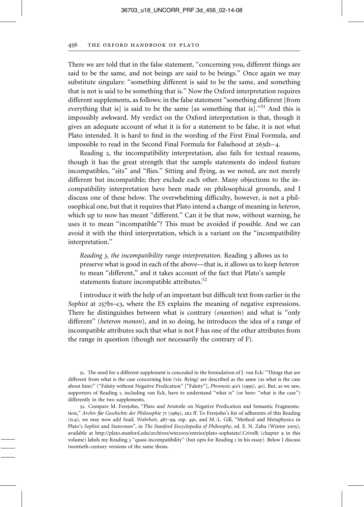There we are told that in the false statement, "concerning you, different things are said to be the same, and not beings are said to be beings.'' Once again we may substitute singulars: ''something different is said to be the same, and something that is not is said to be something that is.'' Now the Oxford interpretation requires different supplements, as follows: in the false statement ''something different [from everything that is] is said to be the same [as something that is].<sup>51</sup> And this is impossibly awkward. My verdict on the Oxford interpretation is that, though it gives an adequate account of what it is for a statement to be false, it is not what Plato intended. It is hard to find in the wording of the First Final Formula, and impossible to read in the Second Final Formula for Falsehood at 263d1–4.

Reading 2, the incompatibility interpretation, also fails for textual reasons, though it has the great strength that the sample statements do indeed feature incompatibles, "sits" and "flies." Sitting and flying, as we noted, are not merely different but incompatible; they exclude each other. Many objections to the incompatibility interpretation have been made on philosophical grounds, and I discuss one of these below. The overwhelming difficulty, however, is not a philosophical one, but that it requires that Plato intend a change of meaning in heteron, which up to now has meant "different." Can it be that now, without warning, he uses it to mean ''incompatible''? This must be avoided if possible. And we can avoid it with the third interpretation, which is a variant on the ''incompatibility interpretation.''

Reading 3, the incompatibility range interpretation. Reading 3 allows us to preserve what is good in each of the above—that is, it allows us to keep heteron to mean ''different,'' and it takes account of the fact that Plato's sample statements feature incompatible attributes.<sup>52</sup>

I introduce it with the help of an important but difficult text from earlier in the Sophist at 257b1–c3, where the ES explains the meaning of negative expressions. There he distinguishes between what is contrary (enantion) and what is ''only different'' (heteron monon), and in so doing, he introduces the idea of a range of incompatible attributes such that what is not F has one of the other attributes from the range in question (though not necessarily the contrary of F).

51. The need for a different supplement is concealed in the formulation of J. van Eck: ''Things that are different from what is the case concerning him (viz. flying) are described as the same (as what is the case about him)" ("Falsity without Negative Predication" ["Falsity"], Phronesis 40/1 (1995), 40). But, as we saw, supporters of Reading 1, including van Eck, have to understand "what is" (or here: "what is the case") differently in the two supplements.

52. Compare M. Ferejohn, ''Plato and Aristotle on Negative Predication and Semantic Fragmentation," Archiv für Geschichte der Philosophie 71 (1989), 262 ff. To Ferejohn's list of adherents of this Reading (n.9), we may now add Szaif, Wahrheit, 487–99, esp. 491, and M.-L. Gill, ''Method and Metaphysics in Plato's Sophist and Statesman'', in The Stanford Encyclopedia of Philosophy, ed. E. N. Zalta (Winter 2005), available at http://plato.stanford.edu/archives/win2005/entries/plato-sophstate/.Crivelli (chapter 9 in this volume) labels my Reading 3 ''quasi-incompatibility'' (but opts for Reading 1 in his essay). Below I discuss twentieth-century versions of the same thesis.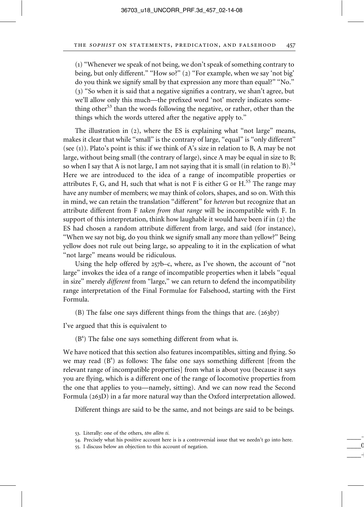(1) ''Whenever we speak of not being, we don't speak of something contrary to being, but only different." "How so?" (2) "For example, when we say 'not big' do you think we signify small by that expression any more than equal?'' ''No.'' (3) ''So when it is said that a negative signifies a contrary, we shan't agree, but we'll allow only this much—the prefixed word 'not' merely indicates something other<sup>53</sup> than the words following the negative, or rather, other than the things which the words uttered after the negative apply to.''

The illustration in (2), where the ES is explaining what ''not large'' means, makes it clear that while "small" is the contrary of large, "equal" is "only different" (see (1)). Plato's point is this: if we think of A's size in relation to B, A may be not large, without being small (the contrary of large), since A may be equal in size to B; so when I say that A is not large, I am not saying that it is small (in relation to B).<sup>54</sup> Here we are introduced to the idea of a range of incompatible properties or attributes F, G, and H, such that what is not F is either G or  $H$ <sup>55</sup>. The range may have any number of members; we may think of colors, shapes, and so on. With this in mind, we can retain the translation "different" for *heteron* but recognize that an attribute different from F taken from that range will be incompatible with F. In support of this interpretation, think how laughable it would have been if in (2) the ES had chosen a random attribute different from large, and said (for instance), ''When we say not big, do you think we signify small any more than yellow?'' Being yellow does not rule out being large, so appealing to it in the explication of what "not large" means would be ridiculous.

Using the help offered by 257b–c, where, as I've shown, the account of ''not large'' invokes the idea of a range of incompatible properties when it labels ''equal in size" merely *different* from "large," we can return to defend the incompatibility range interpretation of the Final Formulae for Falsehood, starting with the First Formula.

(B) The false one says different things from the things that are. (263b7)

I've argued that this is equivalent to

 $(B<sup>s</sup>)$  The false one says something different from what is.

We have noticed that this section also features incompatibles, sitting and flying. So we may read  $(B<sup>s</sup>)$  as follows: The false one says something different [from the relevant range of incompatible properties] from what is about you (because it says you are flying, which is a different one of the range of locomotive properties from the one that applies to you—namely, sitting). And we can now read the Second Formula (263D) in a far more natural way than the Oxford interpretation allowed.

Different things are said to be the same, and not beings are said to be beings.

<sup>53.</sup> Literally: one of the others, ton allon ti.

<sup>54</sup>. Precisely what his positive account here is is a controversial issue that we needn't go into here.

<sup>55</sup>. I discuss below an objection to this account of negation.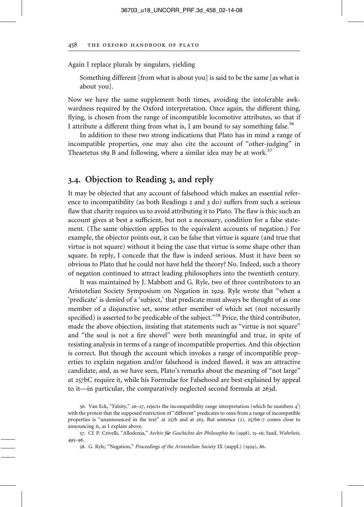Again I replace plurals by singulars, yielding

Something different [from what is about you] is said to be the same [as what is about you].

Now we have the same supplement both times, avoiding the intolerable awkwardness required by the Oxford interpretation. Once again, the different thing, flying, is chosen from the range of incompatible locomotive attributes, so that if I attribute a different thing from what is, I am bound to say something false.<sup>56</sup>

In addition to these two strong indications that Plato has in mind a range of incompatible properties, one may also cite the account of ''other-judging'' in Theaetetus 189 B and following, where a similar idea may be at work.<sup>57</sup>

## 3.4. Objection to Reading 3, and reply

It may be objected that any account of falsehood which makes an essential reference to incompatibility (as both Readings 2 and 3 do) suffers from such a serious flaw that charity requires us to avoid attributing it to Plato. The flaw is this: such an account gives at best a sufficient, but not a necessary, condition for a false statement. (The same objection applies to the equivalent accounts of negation.) For example, the objector points out, it can be false that virtue is square (and true that virtue is not square) without it being the case that virtue is some shape other than square. In reply, I concede that the flaw is indeed serious. Must it have been so obvious to Plato that he could not have held the theory? No. Indeed, such a theory of negation continued to attract leading philosophers into the twentieth century.

It was maintained by J. Mabbott and G. Ryle, two of three contributors to an Aristotelian Society Symposium on Negation in 1929. Ryle wrote that ''when a 'predicate' is denied of a 'subject,' that predicate must always be thought of as one member of a disjunctive set, some other member of which set (not necessarily specified) is asserted to be predicable of the subject."<sup>58</sup> Price, the third contributor, made the above objection, insisting that statements such as ''virtue is not square'' and ''the soul is not a fire shovel'' were both meaningful and true, in spite of resisting analysis in terms of a range of incompatible properties. And this objection is correct. But though the account which invokes a range of incompatible properties to explain negation and/or falsehood is indeed flawed, it was an attractive candidate, and, as we have seen, Plato's remarks about the meaning of ''not large'' at 257bC require it, while his Formulae for Falsehood are best explained by appeal to it—in particular, the comparatively neglected second formula at 263d.

<sup>56.</sup> Van Eck, "Falsity," 26–27, rejects the incompatibility range interpretation (which he numbers  $4^i$ ) with the protest that the supposed restriction of "different" predicates to ones from a range of incompatible properties is ''unannounced in the text'' at 257b and at 263. But sentence (2), 257b6–7 comes close to announcing it, as I explain above.

<sup>57.</sup> Cf. P. Crivelli, "Allodoxia," Archiv für Geschichte der Philosophie 80 (1998), 15–16; Szaif, Wahrheit, 495–96.

<sup>58</sup>. G. Ryle, ''Negation,'' Proceedings of the Aristotelian Society IX (suppl.) (1929), 86.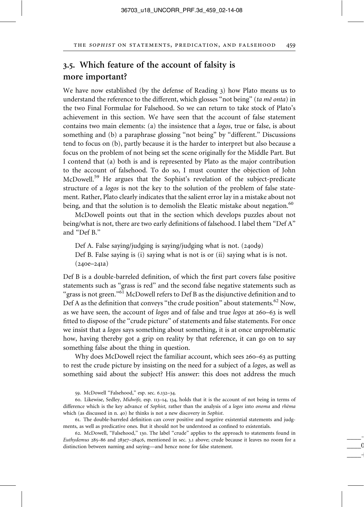# 3.5. Which feature of the account of falsity is more important?

We have now established (by the defense of Reading 3) how Plato means us to understand the reference to the different, which glosses "not being" (ta  $m\bar{\epsilon}$  onta) in the two Final Formulae for Falsehood. So we can return to take stock of Plato's achievement in this section. We have seen that the account of false statement contains two main elements: (a) the insistence that a logos, true or false, is about something and (b) a paraphrase glossing "not being" by "different." Discussions tend to focus on (b), partly because it is the harder to interpret but also because a focus on the problem of not being set the scene originally for the Middle Part. But I contend that (a) both is and is represented by Plato as the major contribution to the account of falsehood. To do so, I must counter the objection of John McDowell.<sup>59</sup> He argues that the Sophist's revelation of the subject-predicate structure of a logos is not the key to the solution of the problem of false statement. Rather, Plato clearly indicates that the salient error lay in a mistake about not being, and that the solution is to demolish the Eleatic mistake about negation.<sup>60</sup>

McDowell points out that in the section which develops puzzles about not being/what is not, there are two early definitions of falsehood. I label them ''Def A'' and ''Def B.''

Def A. False saying/judging is saying/judging what is not. (240d9) Def B. False saying is (i) saying what is not is or (ii) saying what is is not.  $(240e-241a)$ 

Def B is a double-barreled definition, of which the first part covers false positive statements such as ''grass is red'' and the second false negative statements such as "grass is not green."<sup>61</sup> McDowell refers to Def B as the disjunctive definition and to Def A as the definition that conveys "the crude position" about statements.<sup>62</sup> Now, as we have seen, the account of logos and of false and true logos at 260–63 is well fitted to dispose of the "crude picture" of statements and false statements. For once we insist that a *logos* says something about something, it is at once unproblematic how, having thereby got a grip on reality by that reference, it can go on to say something false about the thing in question.

Why does McDowell reject the familiar account, which sees 260–63 as putting to rest the crude picture by insisting on the need for a subject of a logos, as well as something said about the subject? His answer: this does not address the much

<sup>59</sup>. McDowell ''Falsehood,'' esp. sec. 6.132–34.

<sup>60</sup>. Likewise, Sedley, Midwife, esp. 113–14, 134, holds that it is the account of not being in terms of difference which is the key advance of Sophist, rather than the analysis of a logos into onoma and rhēma which (as discussed in n. 40) he thinks is not a new discovery in Sophist.

<sup>61</sup>. The double-barreled definition can cover positive and negative existential statements and judgments, as well as predicative ones. But it should not be understood as confined to existentials.

<sup>62</sup>. McDowell, ''Falsehood,'' 130. The label ''crude'' applies to the approach to statements found in Euthydemus 285–86 and 283e7–284c6, mentioned in sec. 3.1 above; crude because it leaves no room for a distinction between naming and saying—and hence none for false statement.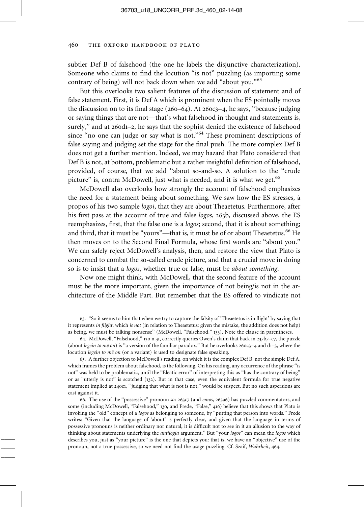subtler Def B of falsehood (the one he labels the disjunctive characterization). Someone who claims to find the locution "is not" puzzling (as importing some contrary of being) will not back down when we add "about you."<sup>63</sup>

But this overlooks two salient features of the discussion of statement and of false statement. First, it is Def A which is prominent when the ES pointedly moves the discussion on to its final stage  $(260-64)$ . At  $260c3-4$ , he says, "because judging or saying things that are not—that's what falsehood in thought and statements is, surely,'' and at 260d1–2, he says that the sophist denied the existence of falsehood since "no one can judge or say what is not."<sup>64</sup> These prominent descriptions of false saying and judging set the stage for the final push. The more complex Def B does not get a further mention. Indeed, we may hazard that Plato considered that Def B is not, at bottom, problematic but a rather insightful definition of falsehood, provided, of course, that we add ''about so-and-so. A solution to the ''crude picture" is, contra McDowell, just what is needed, and it is what we get.<sup>65</sup>

McDowell also overlooks how strongly the account of falsehood emphasizes the need for a statement being about something. We saw how the ES stresses, a` propos of his two sample logoi, that they are about Theaetetus. Furthermore, after his first pass at the account of true and false logos, 263b, discussed above, the ES reemphasizes, first, that the false one is a *logos*; second, that it is about something; and third, that it must be "yours"—that is, it must be of or about Theaetetus.<sup>66</sup> He then moves on to the Second Final Formula, whose first words are ''about you.'' We can safely reject McDowell's analysis, then, and restore the view that Plato is concerned to combat the so-called crude picture, and that a crucial move in doing so is to insist that a logos, whether true or false, must be about something.

Now one might think, with McDowell, that the second feature of the account must be the more important, given the importance of not being/is not in the architecture of the Middle Part. But remember that the ES offered to vindicate not

63. ''So it seems to him that when we try to capture the falsity of 'Theaetetus is in flight' by saying that it represents in flight, which is not (in relation to Theaetetus: given the mistake, the addition does not help) as being, we must be talking nonsense" (McDowell, "Falsehood," 133). Note the clause in parentheses.

64. McDowell, ''Falsehood,'' 130 n.31, correctly queries Owen's claim that back in 237b7–e7, the puzzle (about legein to me on) is "a version of the familiar paradox." But he overlooks 260c3–4 and d1–3, where the locution legein to me on (or a variant) is used to designate false speaking.

65. A further objection to McDowell's reading, on which it is the complex Def B, not the simple Def A, which frames the problem about falsehood, is the following. On his reading, any occurrence of the phrase "is not'' was held to be problematic, until the ''Eleatic error'' of interpreting this as ''has the contrary of being'' or as ''utterly is not'' is scotched (132). But in that case, even the equivalent formula for true negative statement implied at 240e1, ''judging that what is not is not,'' would be suspect. But no such aspersions are cast against it.

66. The use of the ''possessive'' pronoun sos 263c7 (and emos, 263a6) has puzzled commentators, and some (including McDowell, ''Falsehood,'' 130, and Frede, ''False,'' 416) believe that this shows that Plato is invoking the "old" concept of a logos as belonging to someone, by "putting that person into words." Frede writes: "Given that the language of 'about' is perfectly clear, and given that the language in terms of possessive pronouns is neither ordinary nor natural, it is difficult not to see in it an allusion to the way of thinking about statements underlying the *antilogia* argument." But "your logos" can mean the logos which describes you, just as ''your picture'' is the one that depicts you: that is, we have an ''objective'' use of the pronoun, not a true possessive, so we need not find the usage puzzling. Cf. Szaif, Wahrheit, 464.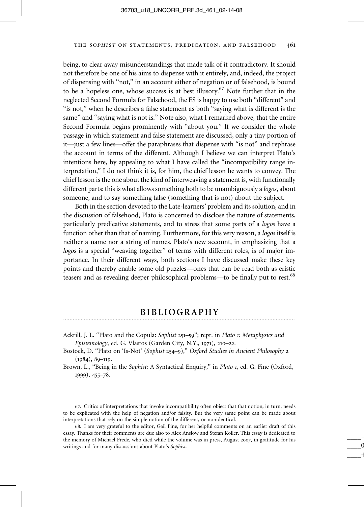being, to clear away misunderstandings that made talk of it contradictory. It should not therefore be one of his aims to dispense with it entirely, and, indeed, the project of dispensing with ''not,'' in an account either of negation or of falsehood, is bound to be a hopeless one, whose success is at best illusory.<sup>67</sup> Note further that in the neglected Second Formula for Falsehood, the ES is happy to use both ''different'' and ''is not,'' when he describes a false statement as both ''saying what is different is the same" and "saying what is not is." Note also, what I remarked above, that the entire Second Formula begins prominently with ''about you.'' If we consider the whole passage in which statement and false statement are discussed, only a tiny portion of it—just a few lines—offer the paraphrases that dispense with ''is not'' and rephrase the account in terms of the different. Although I believe we can interpret Plato's intentions here, by appealing to what I have called the ''incompatibility range interpretation,'' I do not think it is, for him, the chief lesson he wants to convey. The chief lesson is the one about the kind of interweaving a statement is, with functionally different parts: this is what allows something both to be unambiguously a *logos*, about someone, and to say something false (something that is not) about the subject.

Both in the section devoted to the Late-learners' problem and its solution, and in the discussion of falsehood, Plato is concerned to disclose the nature of statements, particularly predicative statements, and to stress that some parts of a logos have a function other than that of naming. Furthermore, for this very reason, a logos itself is neither a name nor a string of names. Plato's new account, in emphasizing that a logos is a special "weaving together" of terms with different roles, is of major importance. In their different ways, both sections I have discussed make these key points and thereby enable some old puzzles—ones that can be read both as eristic teasers and as revealing deeper philosophical problems—to be finally put to rest.<sup>68</sup>

## BIBLIOGRAPHY

- Ackrill, J. L. "Plato and the Copula: Sophist 251–59"; repr. in Plato 1: Metaphysics and Epistemology, ed. G. Vlastos (Garden City, N.Y., 1971), 210–22.
- Bostock, D. "Plato on 'Is-Not' (Sophist 254–9)," Oxford Studies in Ancient Philosophy 2  $(1984)$ , 89–119.
- Brown, L., "Being in the Sophist: A Syntactical Enquiry," in Plato 1, ed. G. Fine (Oxford, 1999), 455–78.

67. Critics of interpretations that invoke incompatibility often object that that notion, in turn, needs to be explicated with the help of negation and/or falsity. But the very same point can be made about interpretations that rely on the simple notion of the different, or nonidentical.

68. I am very grateful to the editor, Gail Fine, for her helpful comments on an earlier draft of this essay. Thanks for their comments are due also to Alex Anslow and Stefan Koller. This essay is dedicated to the memory of Michael Frede, who died while the volume was in press, August 2007, in gratitude for his writings and for many discussions about Plato's Sophist.